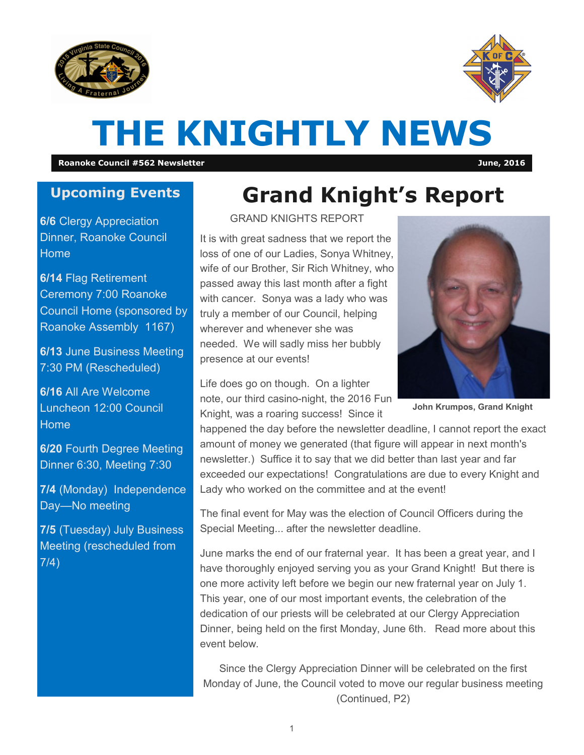



# **THE KNIGHTLY NEWS**

**Roanoke Council #562 Newsletter June, 2016**

#### **Upcoming Events**

**6/6** Clergy Appreciation Dinner, Roanoke Council Home

**6/14** Flag Retirement Ceremony 7:00 Roanoke Council Home (sponsored by Roanoke Assembly 1167)

**6/13** June Business Meeting 7:30 PM (Rescheduled)

**6/16** All Are Welcome Luncheon 12:00 Council Home

**6/20** Fourth Degree Meeting Dinner 6:30, Meeting 7:30

**7/4** (Monday) Independence Day—No meeting

**7/5** (Tuesday) July Business Meeting (rescheduled from 7/4)

## **Grand Knight's Report**

GRAND KNIGHTS REPORT

It is with great sadness that we report the loss of one of our Ladies, Sonya Whitney, wife of our Brother, Sir Rich Whitney, who passed away this last month after a fight with cancer. Sonya was a lady who was truly a member of our Council, helping wherever and whenever she was needed. We will sadly miss her bubbly presence at our events!

Life does go on though. On a lighter note, our third casino-night, the 2016 Fun Knight, was a roaring success! Since it

happened the day before the newsletter deadline, I cannot report the exact amount of money we generated (that figure will appear in next month's newsletter.) Suffice it to say that we did better than last year and far exceeded our expectations! Congratulations are due to every Knight and Lady who worked on the committee and at the event!

The final event for May was the election of Council Officers during the Special Meeting... after the newsletter deadline.

June marks the end of our fraternal year. It has been a great year, and I have thoroughly enjoyed serving you as your Grand Knight! But there is one more activity left before we begin our new fraternal year on July 1. This year, one of our most important events, the celebration of the dedication of our priests will be celebrated at our Clergy Appreciation Dinner, being held on the first Monday, June 6th. Read more about this event below.

Since the Clergy Appreciation Dinner will be celebrated on the first Monday of June, the Council voted to move our regular business meeting (Continued, P2)



**John Krumpos, Grand Knight**

1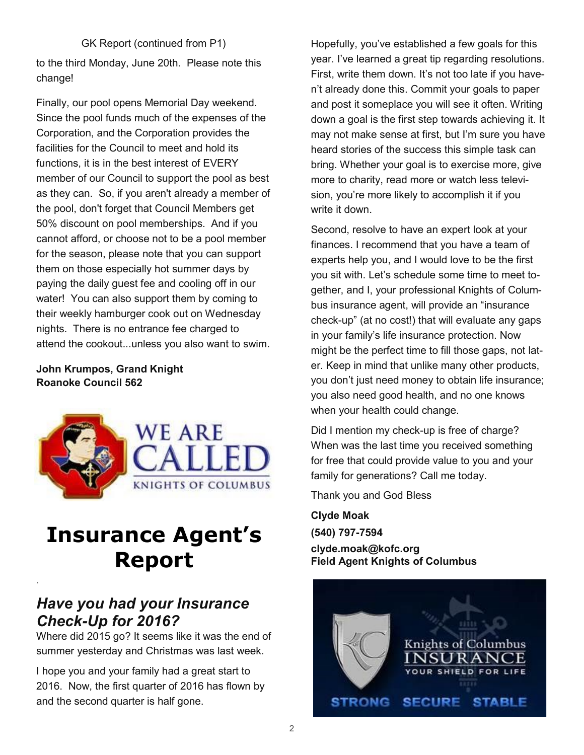#### GK Report (continued from P1)

to the third Monday, June 20th. Please note this change!

Finally, our pool opens Memorial Day weekend. Since the pool funds much of the expenses of the Corporation, and the Corporation provides the facilities for the Council to meet and hold its functions, it is in the best interest of EVERY member of our Council to support the pool as best as they can. So, if you aren't already a member of the pool, don't forget that Council Members get 50% discount on pool memberships. And if you cannot afford, or choose not to be a pool member for the season, please note that you can support them on those especially hot summer days by paying the daily guest fee and cooling off in our water! You can also support them by coming to their weekly hamburger cook out on Wednesday nights. There is no entrance fee charged to attend the cookout...unless you also want to swim.

#### **John Krumpos, Grand Knight Roanoke Council 562**



## **Insurance Agent's Report**

### *Have you had your Insurance Check-Up for 2016?*

.

Where did 2015 go? It seems like it was the end of summer yesterday and Christmas was last week.

I hope you and your family had a great start to 2016. Now, the first quarter of 2016 has flown by and the second quarter is half gone.

Hopefully, you've established a few goals for this year. I've learned a great tip regarding resolutions. First, write them down. It's not too late if you haven't already done this. Commit your goals to paper and post it someplace you will see it often. Writing down a goal is the first step towards achieving it. It may not make sense at first, but I'm sure you have heard stories of the success this simple task can bring. Whether your goal is to exercise more, give more to charity, read more or watch less television, you're more likely to accomplish it if you write it down.

Second, resolve to have an expert look at your finances. I recommend that you have a team of experts help you, and I would love to be the first you sit with. Let's schedule some time to meet together, and I, your professional Knights of Columbus insurance agent, will provide an "insurance check-up" (at no cost!) that will evaluate any gaps in your family's life insurance protection. Now might be the perfect time to fill those gaps, not later. Keep in mind that unlike many other products, you don't just need money to obtain life insurance; you also need good health, and no one knows when your health could change.

Did I mention my check-up is free of charge? When was the last time you received something for free that could provide value to you and your family for generations? Call me today.

Thank you and God Bless

**Clyde Moak (540) 797-7594** 

**clyde.moak@kofc.org Field Agent Knights of Columbus**

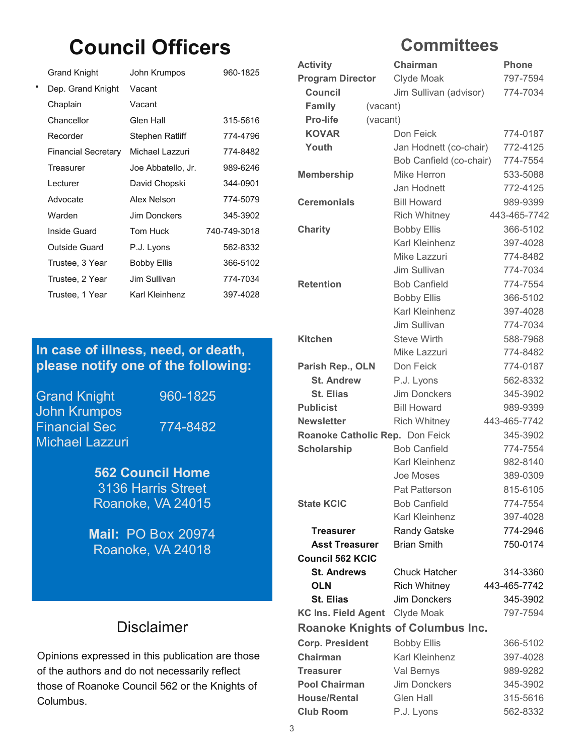## **Council Officers**

| Grand Knight               | John Krumpos       | 960-1825     |
|----------------------------|--------------------|--------------|
| Dep. Grand Knight          | Vacant             |              |
| Chaplain                   | Vacant             |              |
| Chancellor                 | Glen Hall          | 315-5616     |
| Recorder                   | Stephen Ratliff    | 774-4796     |
| <b>Financial Secretary</b> | Michael Lazzuri    | 774-8482     |
| Treasurer                  | Joe Abbatello, Jr. | 989-6246     |
| I ecturer                  | David Chopski      | 344-0901     |
| Advocate                   | Alex Nelson        | 774-5079     |
| Warden                     | Jim Donckers       | 345-3902     |
| Inside Guard               | Tom Huck           | 740-749-3018 |
| Outside Guard              | P.J. Lyons         | 562-8332     |
| Trustee, 3 Year            | <b>Bobby Ellis</b> | 366-5102     |
| Trustee, 2 Year            | Jim Sullivan       | 774-7034     |
| Trustee, 1 Year            | Karl Kleinhenz     | 397-4028     |
|                            |                    |              |

#### **In case of illness, need, or death, please notify one of the following:**

Grand Knight 960-1825 John Krumpos Financial Sec 774-8482 Michael Lazzuri

**562 Council Home**  3136 Harris Street Roanoke, VA 24015

**Mail:** PO Box 20974 Roanoke, VA 24018

### Disclaimer

Opinions expressed in this publication are those of the authors and do not necessarily reflect those of Roanoke Council 562 or the Knights of Columbus.

### **Committees**

| <b>Activity</b>                 | Chairman                                | <b>Phone</b> |  |  |  |  |
|---------------------------------|-----------------------------------------|--------------|--|--|--|--|
| <b>Program Director</b>         | Clyde Moak                              | 797-7594     |  |  |  |  |
| <b>Council</b>                  | Jim Sullivan (advisor)                  | 774-7034     |  |  |  |  |
| <b>Family</b><br>(vacant)       |                                         |              |  |  |  |  |
| <b>Pro-life</b>                 | (vacant)                                |              |  |  |  |  |
| <b>KOVAR</b>                    | Don Feick                               | 774-0187     |  |  |  |  |
| Youth                           | Jan Hodnett (co-chair)                  | 772-4125     |  |  |  |  |
|                                 | Bob Canfield (co-chair)                 | 774-7554     |  |  |  |  |
| <b>Membership</b>               | Mike Herron                             | 533-5088     |  |  |  |  |
|                                 | Jan Hodnett                             | 772-4125     |  |  |  |  |
| <b>Ceremonials</b>              | <b>Bill Howard</b>                      | 989-9399     |  |  |  |  |
|                                 | <b>Rich Whitney</b>                     | 443-465-7742 |  |  |  |  |
| <b>Charity</b>                  | <b>Bobby Ellis</b>                      | 366-5102     |  |  |  |  |
|                                 | Karl Kleinhenz                          | 397-4028     |  |  |  |  |
|                                 | Mike Lazzuri                            | 774-8482     |  |  |  |  |
|                                 | Jim Sullivan                            | 774-7034     |  |  |  |  |
| <b>Retention</b>                | <b>Bob Canfield</b>                     | 774-7554     |  |  |  |  |
|                                 | <b>Bobby Ellis</b>                      | 366-5102     |  |  |  |  |
|                                 | Karl Kleinhenz                          | 397-4028     |  |  |  |  |
|                                 | Jim Sullivan                            | 774-7034     |  |  |  |  |
| <b>Kitchen</b>                  | <b>Steve Wirth</b>                      | 588-7968     |  |  |  |  |
|                                 | Mike Lazzuri                            | 774-8482     |  |  |  |  |
| Parish Rep., OLN                | Don Feick                               | 774-0187     |  |  |  |  |
| <b>St. Andrew</b>               | P.J. Lyons                              | 562-8332     |  |  |  |  |
| <b>St. Elias</b>                | <b>Jim Donckers</b>                     | 345-3902     |  |  |  |  |
| <b>Publicist</b>                | <b>Bill Howard</b>                      | 989-9399     |  |  |  |  |
| <b>Newsletter</b>               | <b>Rich Whitney</b>                     | 443-465-7742 |  |  |  |  |
| Roanoke Catholic Rep. Don Feick |                                         | 345-3902     |  |  |  |  |
| <b>Scholarship</b>              | <b>Bob Canfield</b>                     | 774-7554     |  |  |  |  |
|                                 | Karl Kleinhenz                          | 982-8140     |  |  |  |  |
|                                 | <b>Joe Moses</b>                        | 389-0309     |  |  |  |  |
|                                 | <b>Pat Patterson</b>                    | 815-6105     |  |  |  |  |
| <b>State KCIC</b>               | <b>Bob Canfield</b>                     | 774-7554     |  |  |  |  |
|                                 | Karl Kleinhenz                          | 397-4028     |  |  |  |  |
| <b>Treasurer</b>                | Randy Gatske                            | 774-2946     |  |  |  |  |
| <b>Asst Treasurer</b>           | <b>Brian Smith</b>                      | 750-0174     |  |  |  |  |
| <b>Council 562 KCIC</b>         |                                         |              |  |  |  |  |
| <b>St. Andrews</b>              | <b>Chuck Hatcher</b>                    | 314-3360     |  |  |  |  |
| <b>OLN</b>                      | <b>Rich Whitney</b>                     | 443-465-7742 |  |  |  |  |
| <b>St. Elias</b>                | <b>Jim Donckers</b>                     | 345-3902     |  |  |  |  |
| <b>KC Ins. Field Agent</b>      | Clyde Moak                              | 797-7594     |  |  |  |  |
|                                 | <b>Roanoke Knights of Columbus Inc.</b> |              |  |  |  |  |
| <b>Corp. President</b>          | <b>Bobby Ellis</b>                      | 366-5102     |  |  |  |  |
| <b>Chairman</b>                 | Karl Kleinhenz                          | 397-4028     |  |  |  |  |
| Treasurer                       | Val Bernys                              | 989-9282     |  |  |  |  |
| <b>Pool Chairman</b>            | <b>Jim Donckers</b>                     | 345-3902     |  |  |  |  |
| <b>House/Rental</b>             | <b>Glen Hall</b>                        | 315-5616     |  |  |  |  |
| <b>Club Room</b>                | P.J. Lyons                              | 562-8332     |  |  |  |  |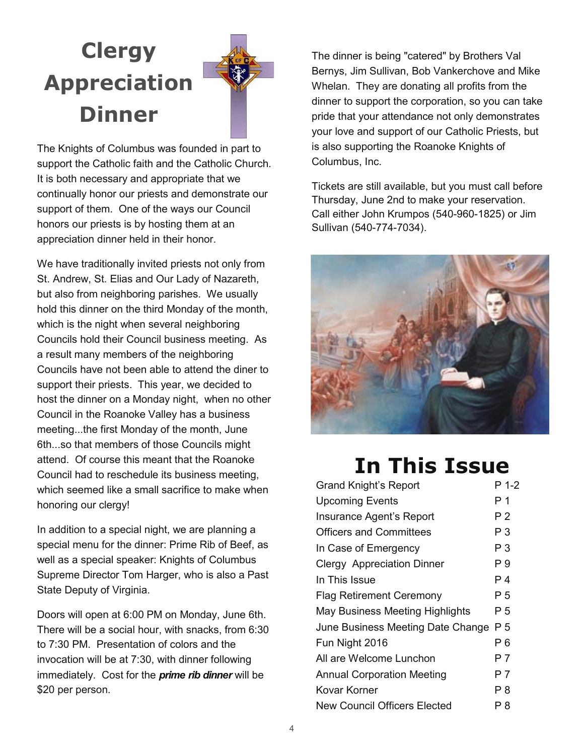## **Clergy Appreciation Dinner**



The Knights of Columbus was founded in part to support the Catholic faith and the Catholic Church. It is both necessary and appropriate that we continually honor our priests and demonstrate our support of them. One of the ways our Council honors our priests is by hosting them at an appreciation dinner held in their honor.

We have traditionally invited priests not only from St. Andrew, St. Elias and Our Lady of Nazareth, but also from neighboring parishes. We usually hold this dinner on the third Monday of the month, which is the night when several neighboring Councils hold their Council business meeting. As a result many members of the neighboring Councils have not been able to attend the diner to support their priests. This year, we decided to host the dinner on a Monday night, when no other Council in the Roanoke Valley has a business meeting...the first Monday of the month, June 6th...so that members of those Councils might attend. Of course this meant that the Roanoke Council had to reschedule its business meeting, which seemed like a small sacrifice to make when honoring our clergy!

In addition to a special night, we are planning a special menu for the dinner: Prime Rib of Beef, as well as a special speaker: Knights of Columbus Supreme Director Tom Harger, who is also a Past State Deputy of Virginia.

Doors will open at 6:00 PM on Monday, June 6th. There will be a social hour, with snacks, from 6:30 to 7:30 PM. Presentation of colors and the invocation will be at 7:30, with dinner following immediately. Cost for the *prime rib dinner* will be \$20 per person.

The dinner is being "catered" by Brothers Val Bernys, Jim Sullivan, Bob Vankerchove and Mike Whelan. They are donating all profits from the dinner to support the corporation, so you can take pride that your attendance not only demonstrates your love and support of our Catholic Priests, but is also supporting the Roanoke Knights of Columbus, Inc.

Tickets are still available, but you must call before Thursday, June 2nd to make your reservation. Call either John Krumpos (540-960-1825) or Jim Sullivan (540-774-7034).



### **In This Issue**

| <b>Grand Knight's Report</b>      | P 1-2 |
|-----------------------------------|-------|
| <b>Upcoming Events</b>            | Р1    |
| Insurance Agent's Report          | P 2   |
| <b>Officers and Committees</b>    | P 3   |
| In Case of Emergency              | Р3    |
| Clergy Appreciation Dinner        | Р9    |
| In This Issue                     | P 4   |
| <b>Flag Retirement Ceremony</b>   | P 5   |
| May Business Meeting Highlights   | P 5   |
| June Business Meeting Date Change | P 5   |
| Fun Night 2016                    | P 6   |
| All are Welcome Lunchon           | P 7   |
| <b>Annual Corporation Meeting</b> | P 7   |
| Kovar Korner                      | P 8   |
| New Council Officers Elected      | Р8    |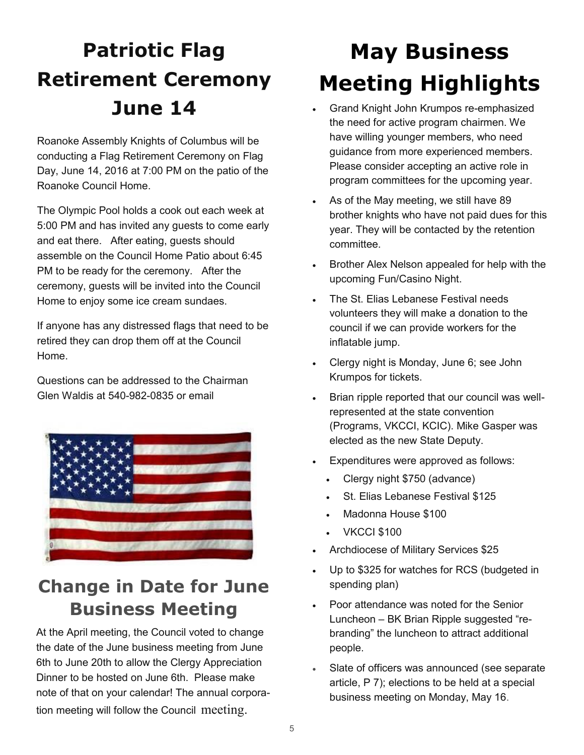## **Patriotic Flag Retirement Ceremony June 14**

Roanoke Assembly Knights of Columbus will be conducting a Flag Retirement Ceremony on Flag Day, June 14, 2016 at 7:00 PM on the patio of the Roanoke Council Home.

The Olympic Pool holds a cook out each week at 5:00 PM and has invited any guests to come early and eat there. After eating, guests should assemble on the Council Home Patio about 6:45 PM to be ready for the ceremony. After the ceremony, guests will be invited into the Council Home to enjoy some ice cream sundaes.

If anyone has any distressed flags that need to be retired they can drop them off at the Council Home.

Questions can be addressed to the Chairman Glen Waldis at 540-982-0835 or email



### **Change in Date for June Business Meeting**

At the April meeting, the Council voted to change the date of the June business meeting from June 6th to June 20th to allow the Clergy Appreciation Dinner to be hosted on June 6th. Please make note of that on your calendar! The annual corporation meeting will follow the Council meeting.

## **May Business Meeting Highlights**

- Grand Knight John Krumpos re-emphasized the need for active program chairmen. We have willing younger members, who need guidance from more experienced members. Please consider accepting an active role in program committees for the upcoming year.
- As of the May meeting, we still have 89 brother knights who have not paid dues for this year. They will be contacted by the retention committee.
- Brother Alex Nelson appealed for help with the upcoming Fun/Casino Night.
- The St. Elias Lebanese Festival needs volunteers they will make a donation to the council if we can provide workers for the inflatable jump.
- Clergy night is Monday, June 6; see John Krumpos for tickets.
- Brian ripple reported that our council was wellrepresented at the state convention (Programs, VKCCI, KCIC). Mike Gasper was elected as the new State Deputy.
- Expenditures were approved as follows:
	- Clergy night \$750 (advance)
	- St. Elias Lebanese Festival \$125
	- Madonna House \$100
	- VKCCI \$100
- Archdiocese of Military Services \$25
- Up to \$325 for watches for RCS (budgeted in spending plan)
- Poor attendance was noted for the Senior Luncheon – BK Brian Ripple suggested "rebranding" the luncheon to attract additional people.
- Slate of officers was announced (see separate article, P 7); elections to be held at a special business meeting on Monday, May 16.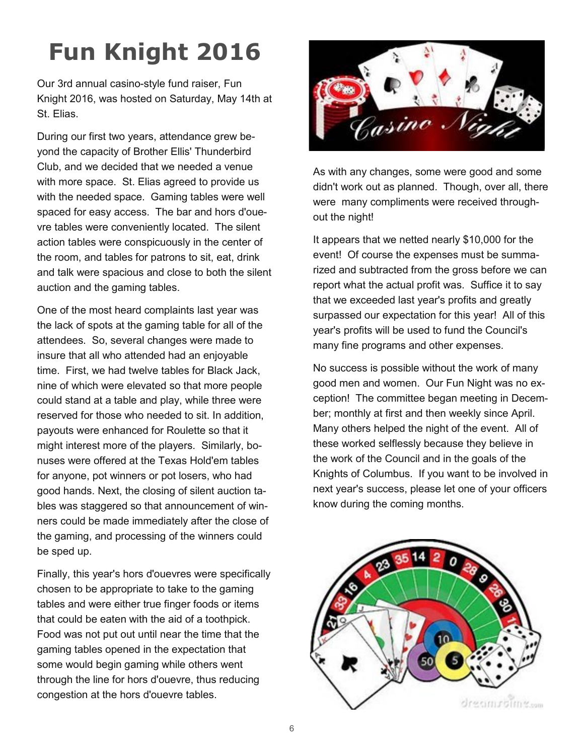## **Fun Knight 2016**

Our 3rd annual casino-style fund raiser, Fun Knight 2016, was hosted on Saturday, May 14th at St. Elias.

During our first two years, attendance grew beyond the capacity of Brother Ellis' Thunderbird Club, and we decided that we needed a venue with more space. St. Elias agreed to provide us with the needed space. Gaming tables were well spaced for easy access. The bar and hors d'ouevre tables were conveniently located. The silent action tables were conspicuously in the center of the room, and tables for patrons to sit, eat, drink and talk were spacious and close to both the silent auction and the gaming tables.

One of the most heard complaints last year was the lack of spots at the gaming table for all of the attendees. So, several changes were made to insure that all who attended had an enjoyable time. First, we had twelve tables for Black Jack, nine of which were elevated so that more people could stand at a table and play, while three were reserved for those who needed to sit. In addition, payouts were enhanced for Roulette so that it might interest more of the players. Similarly, bonuses were offered at the Texas Hold'em tables for anyone, pot winners or pot losers, who had good hands. Next, the closing of silent auction tables was staggered so that announcement of winners could be made immediately after the close of the gaming, and processing of the winners could be sped up.

Finally, this year's hors d'ouevres were specifically chosen to be appropriate to take to the gaming tables and were either true finger foods or items that could be eaten with the aid of a toothpick. Food was not put out until near the time that the gaming tables opened in the expectation that some would begin gaming while others went through the line for hors d'ouevre, thus reducing congestion at the hors d'ouevre tables.



As with any changes, some were good and some didn't work out as planned. Though, over all, there were many compliments were received throughout the night!

It appears that we netted nearly \$10,000 for the event! Of course the expenses must be summarized and subtracted from the gross before we can report what the actual profit was. Suffice it to say that we exceeded last year's profits and greatly surpassed our expectation for this year! All of this year's profits will be used to fund the Council's many fine programs and other expenses.

No success is possible without the work of many good men and women. Our Fun Night was no exception! The committee began meeting in December; monthly at first and then weekly since April. Many others helped the night of the event. All of these worked selflessly because they believe in the work of the Council and in the goals of the Knights of Columbus. If you want to be involved in next year's success, please let one of your officers know during the coming months.

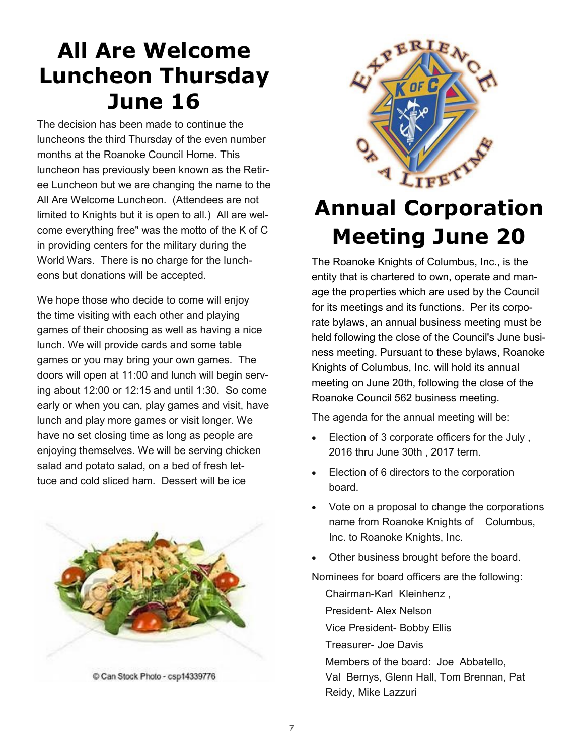## **All Are Welcome Luncheon Thursday June 16**

The decision has been made to continue the luncheons the third Thursday of the even number months at the Roanoke Council Home. This luncheon has previously been known as the Retiree Luncheon but we are changing the name to the All Are Welcome Luncheon. (Attendees are not limited to Knights but it is open to all.) All are welcome everything free" was the motto of the K of C in providing centers for the military during the World Wars. There is no charge for the luncheons but donations will be accepted.

We hope those who decide to come will enjoy the time visiting with each other and playing games of their choosing as well as having a nice lunch. We will provide cards and some table games or you may bring your own games. The doors will open at 11:00 and lunch will begin serving about 12:00 or 12:15 and until 1:30. So come early or when you can, play games and visit, have lunch and play more games or visit longer. We have no set closing time as long as people are enjoying themselves. We will be serving chicken salad and potato salad, on a bed of fresh lettuce and cold sliced ham. Dessert will be ice



LIFET

## **Annual Corporation Meeting June 20**

The Roanoke Knights of Columbus, Inc., is the entity that is chartered to own, operate and manage the properties which are used by the Council for its meetings and its functions. Per its corporate bylaws, an annual business meeting must be held following the close of the Council's June business meeting. Pursuant to these bylaws, Roanoke Knights of Columbus, Inc. will hold its annual meeting on June 20th, following the close of the Roanoke Council 562 business meeting.

The agenda for the annual meeting will be:

- Election of 3 corporate officers for the July , 2016 thru June 30th , 2017 term.
- Election of 6 directors to the corporation board.
- Vote on a proposal to change the corporations name from Roanoke Knights of Columbus, Inc. to Roanoke Knights, Inc.
- Other business brought before the board.

Nominees for board officers are the following:

Chairman-Karl Kleinhenz , President- Alex Nelson Vice President- Bobby Ellis Treasurer- Joe Davis Members of the board: Joe Abbatello, Val Bernys, Glenn Hall, Tom Brennan, Pat Reidy, Mike Lazzuri